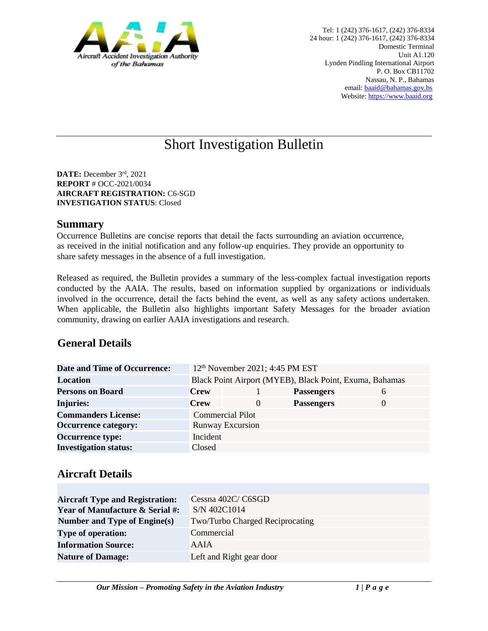

# Short Investigation Bulletin

**DATE:** December 3rd, 2021 **REPORT** # OCC-2021/0034 **AIRCRAFT REGISTRATION:** C6-SGD **INVESTIGATION STATUS**: Closed

#### **Summary**

Occurrence Bulletins are concise reports that detail the facts surrounding an aviation occurrence, as received in the initial notification and any follow-up enquiries. They provide an opportunity to share safety messages in the absence of a full investigation*.* 

Released as required, the Bulletin provides a summary of the less-complex factual investigation reports conducted by the AAIA. The results, based on information supplied by organizations or individuals involved in the occurrence, detail the facts behind the event, as well as any safety actions undertaken. When applicable, the Bulletin also highlights important Safety Messages for the broader aviation community, drawing on earlier AAIA investigations and research.

## **General Details**

| <b>Date and Time of Occurrence:</b> |                                                         | 12 <sup>th</sup> November 2021; 4:45 PM EST |                   |               |
|-------------------------------------|---------------------------------------------------------|---------------------------------------------|-------------------|---------------|
| <b>Location</b>                     | Black Point Airport (MYEB), Black Point, Exuma, Bahamas |                                             |                   |               |
| <b>Persons on Board</b>             | <b>Crew</b>                                             |                                             | <b>Passengers</b> | $\mathfrak b$ |
| <b>Injuries:</b>                    | <b>Crew</b>                                             | $\theta$                                    | <b>Passengers</b> | $\theta$      |
| <b>Commanders License:</b>          |                                                         | <b>Commercial Pilot</b>                     |                   |               |
| <b>Occurrence category:</b>         |                                                         | <b>Runway Excursion</b>                     |                   |               |
| <b>Occurrence type:</b>             | Incident                                                |                                             |                   |               |
| <b>Investigation status:</b>        | Closed                                                  |                                             |                   |               |

## **Aircraft Details**

| <b>Aircraft Type and Registration:</b><br><b>Year of Manufacture &amp; Serial #:</b> | Cessna 402C/C6SGD<br>S/N 402C1014 |
|--------------------------------------------------------------------------------------|-----------------------------------|
| Number and Type of Engine(s)                                                         | Two/Turbo Charged Reciprocating   |
| <b>Type of operation:</b>                                                            | Commercial                        |
| <b>Information Source:</b>                                                           | AAIA                              |
| <b>Nature of Damage:</b>                                                             | Left and Right gear door          |